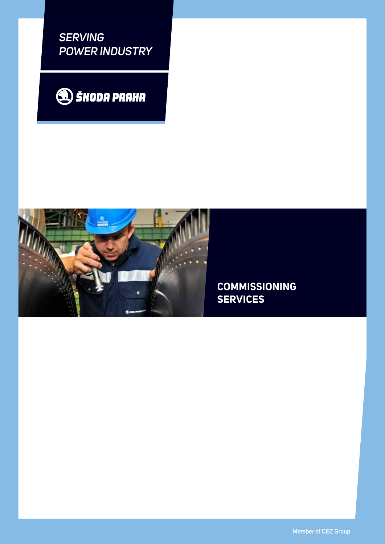*SERVING POWER INDUSTRY*





**COMMISSIONING SERVICES**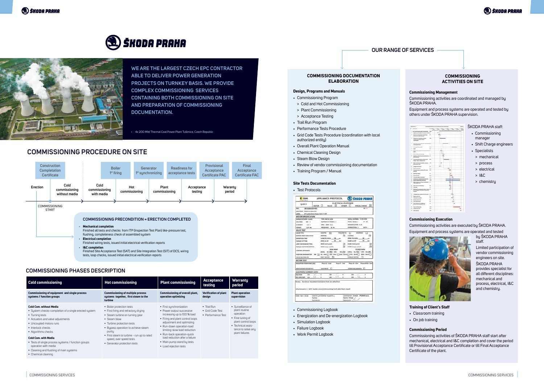# SA) ŠKODA PRAHA



**WE ARE THE LARGEST CZECH EPC CONTRACTOR ABLE TO DELIVER POWER GENERATION PROJECTS ON TURNKEY BASIS. WE PROVIDE COMPLEX COMMISSIONING SERVICES CONTAINING BOTH COMMISSIONING ON SITE AND PREPARATION OF COMMISSIONING DOCUMENTATION.**

| <b>Cold commissioning</b>                                                                                                                                                                                                                                                                                                                                                                               | <b>Hot commissioning</b>                                                                                                                                                                                                                                                                                     | <b>Plant commissioning</b>                                                                                                                                                                                                                                                                                                                | Acceptance<br>testing                                         | Warranty<br>period                                                                                                                                               |
|---------------------------------------------------------------------------------------------------------------------------------------------------------------------------------------------------------------------------------------------------------------------------------------------------------------------------------------------------------------------------------------------------------|--------------------------------------------------------------------------------------------------------------------------------------------------------------------------------------------------------------------------------------------------------------------------------------------------------------|-------------------------------------------------------------------------------------------------------------------------------------------------------------------------------------------------------------------------------------------------------------------------------------------------------------------------------------------|---------------------------------------------------------------|------------------------------------------------------------------------------------------------------------------------------------------------------------------|
| Commissioning of equipment and single process<br>systems / function groups                                                                                                                                                                                                                                                                                                                              | <b>Commissioning of multiple process</b><br>systems together, first steam to the<br>turbine                                                                                                                                                                                                                  | Commissioning of overall plant,<br>operation optimizing                                                                                                                                                                                                                                                                                   | <b>Verification of plant</b><br>design                        | <b>Plant operation</b><br>supervision                                                                                                                            |
| <b>Cold Com. without Media</b><br>• System checks-completion of a single erected system<br>• Turning tests<br>• Actuators and valve adjustments<br>• Uncoupled motors runs<br>• Interlock checks<br>• Algorithms checks<br><b>Cold Com. with Media</b><br>• Tests of single process systems / function groups<br>operation with media<br>• Cleaning and flushing of main systems<br>• Chemical cleaning | • Boiler protection tests<br>• First firing and refractory drying<br>• Steam turbine on turning gear<br>• Steam blow<br>• Turbine protection tests<br>• Bupass operation to achieve steam<br>purity<br>• First steam to turbine - run up to rated<br>speed, over speed tests<br>• Generator protection tests | • First sunchronization<br>• Power output successive<br>increasing up to 100 % load<br>• Firing and plant control loops<br>adjustment and optimizing<br>· Run-down operation-load<br>limiting-slow load reduction<br>• Run-back operation-quick<br>load reduction after a failure<br>• Main pump stand by tests<br>• Load rejection tests | $\bullet$ Trial Run<br>• Grid Code Test<br>• Performance Test | $\bullet$ Surveillance of<br>plant routine<br>operation<br>• Fine tuning of<br>plant control loops<br>• Technical assis-<br>tance to solve any<br>plant failures |

#### **COMMISSIONING PHASES DESCRIPTION**

‹ 4x 200 MW Thermal Coal Power Plant Tušimice, Czech Republic

### **OUR RANGE OF SERVICES**

#### **COMMISSIONING ACTIVITIES ON SITE**

#### **Commissioning Management**

Commissioning activities are coordinated and managed by ŠKODA PRAHA.

Equipment and process systems are operated and tested by others under ŠKODA PRAHA supervision.



#### ŠKODA PRAHA staff:

- Commissioning manager
- Shift Charge engineers
- Specialists
- > mechanical
- > process
- > electrical
- $>$  I&C.
- > chemistry

#### **Commissioning Execution**

Commissioning activities are executed by ŠKODA PRAHA. Equipment and process systems are operated and tested



by ŠKODA PRAHA staff.

Limited participation of vendor commissioning engineers on site. ŠKODA PRAHA provides specialist for all different disciplines: mechanical and process, electrical, I&C and chemistry.

#### **Training of Client's Staff**

- Classroom training
- On job training

#### **Commissioning Period**

Commissioning activities of ŠKODA PRAHA staff start after mechanical, electrical and I&C completion and cover the period till Provisional Acceptance Certificate or till Final Acceptance Certificate of the plant.

#### **COMMISSIONING DOCUMENTATION ELABORATION**

#### **Design, Programs and Manuals**

- Commissioning Program
- > Cold and Hot Commissioning
- > Plant Commissioning
- > Acceptance Testing
- Trail Run Program
- Performance Tests Procedure
- Grid Code Tests Procedure (coordination with local authorized entity)
- Overall Plant Operation Manual
- Chemical Cleaning Design
- Steam Blow Design
- Review of vendor commissioning documentation
- Training Program / Manual

#### **Site Tests Documentation**

• Test Protocols

| <b>COM</b>                                                                                                                                                                                                                                                          |                                                       | APPLIANCE PROTOCOL                                                                                                                                                |                     |                                         |                                                           |                                                                                       |                                                                                           | SKODA PRAHA                                                                                             |
|---------------------------------------------------------------------------------------------------------------------------------------------------------------------------------------------------------------------------------------------------------------------|-------------------------------------------------------|-------------------------------------------------------------------------------------------------------------------------------------------------------------------|---------------------|-----------------------------------------|-----------------------------------------------------------|---------------------------------------------------------------------------------------|-------------------------------------------------------------------------------------------|---------------------------------------------------------------------------------------------------------|
| <b>CAN H</b>                                                                                                                                                                                                                                                        | MOTOR I                                               |                                                                                                                                                                   | <b>NALVE IS</b>     |                                         | ones <sup>[]</sup>                                        | ELECTRICAL CUSTOMER                                                                   | <b><i>VISUAL CHECK</i></b>                                                                |                                                                                                         |
| 4411<br>LOCATION: Machine Heuse Bre<br>LABEL.                                                                                                                                                                                                                       | UBC10AA103-Y01<br>. IP Turting their beam Valve-5 LtR |                                                                                                                                                                   |                     |                                         |                                                           |                                                                                       |                                                                                           | 0.111                                                                                                   |
| <b>MOTOR SPECIFICATION</b>                                                                                                                                                                                                                                          |                                                       |                                                                                                                                                                   |                     |                                         |                                                           |                                                                                       |                                                                                           |                                                                                                         |
| MARKETALTIJREK: JUJAAN<br><b>WILLIAMS</b><br>489.9<br><b>CUMMINS</b><br><b>LEA</b><br>POWER:<br>6,52.4%                                                                                                                                                             |                                                       | TVPG: 980-56-3,068<br>NUMBER OF PARKEL 3<br>6950 2000 Junio<br><b>FRANKLINGHT: Gd Inc.</b>                                                                        |                     |                                         |                                                           | <b>INSEL GLASS F</b><br><b>COAPHOTTOM: N</b>                                          | SERIOU MUMBER: 2.1951 0103<br><b>POWER FACTOR: &amp; 31</b>                               | 91, 63<br>BARN,                                                                                         |
| <b>VALVE TEST</b>                                                                                                                                                                                                                                                   |                                                       |                                                                                                                                                                   |                     |                                         |                                                           |                                                                                       |                                                                                           |                                                                                                         |
| <b>VALUE FIRE</b><br>MOTOR DREETIUM ENELK<br><b>DAVAIA Futine frauut</b><br><b><i>SORGUE SETTING</i></b><br>LIMAT INVENTIBLE ESTIMAL<br><b><i>SDN2AK INSTRUMENTIONS</i></b><br><b>IDNTINOL JNTERLAZE</b><br>FOOTION TRANSMITTER / NA EQ<br><b>VADIX SEATING ON:</b> |                                                       | ELECTRIC<br><b>OFFICIAL</b><br>0.000 TO 09EN<br><b>EFEX US AV.</b><br><b>EREN lisab suchill</b><br><b>EFEX larger switch</b><br>LOCAL AAJ GET DOL<br>LIMIT SWITCH | ы<br>CORN FROM<br>n | 38.<br><b>Julie</b><br>u<br><b>Page</b> | PROUBMY/IC<br>n<br>B<br>m                                 | o<br>Colminati<br><b>GREW TO GLORID</b><br><b>Ba au Bhlui</b><br>EQUIVALIAE SHIPEPEAK | <b>McHeck</b><br><b>CION Instructor</b><br>CLOSE bergues issuitain.<br><b>CLOSED FROM</b> | Ωı<br>и<br>RAZOLT LINJAL RAZOLT.OCE NAZOL<br>24-4th (2) 25% doc [ ] 12% 12th [ ] 72% sime [ ] 32% Hotel |
| MOTOR TEST                                                                                                                                                                                                                                                          |                                                       |                                                                                                                                                                   |                     |                                         |                                                           |                                                                                       |                                                                                           |                                                                                                         |
| NEULATION RESISTANCE (KIEL<br><b>MARCHING AUTAFIEK 1837</b>                                                                                                                                                                                                         |                                                       | Phase U - Gad<br>61000WW                                                                                                                                          |                     |                                         | <b>Hussel V - Good</b>                                    |                                                                                       | Huss N - Grd<br>COUNTERFLOORWAY 5                                                         | Phoens EVW - End                                                                                        |
| ELECTRICAL CURRENT LOAD                                                                                                                                                                                                                                             |                                                       |                                                                                                                                                                   |                     |                                         |                                                           |                                                                                       |                                                                                           |                                                                                                         |
| 634<br><b>IDEA RIVAL:</b><br>ON LIGHTS RIAM<br><b>UH</b>                                                                                                                                                                                                            |                                                       |                                                                                                                                                                   | it for<br>s Ev      |                                         | ٠<br>٠                                                    | ir bo<br>ы.                                                                           |                                                                                           | ٠<br>۸                                                                                                  |
| frotes. Electrical insulation resistance test are attached.<br>Attachments: 1. MCC tender pre-commissioning test and check sheet                                                                                                                                    |                                                       |                                                                                                                                                                   |                     |                                         |                                                           |                                                                                       |                                                                                           |                                                                                                         |
| Date: 10-1-3018                                                                                                                                                                                                                                                     | Client: Can Komar Insalt A.L.<br>Name:<br>Survature:  |                                                                                                                                                                   |                     |                                         | Contractor: SKODA PRAHA a.s.<br>Name: Pergil<br>Survature |                                                                                       |                                                                                           |                                                                                                         |

- Commissioning Logbook
- Energization and De-energization Logbook
- Simulation Logbook
- Failure Logbook
- Work Permit Logbook





## **COMMISSIONING PROCEDURE ON SITE**